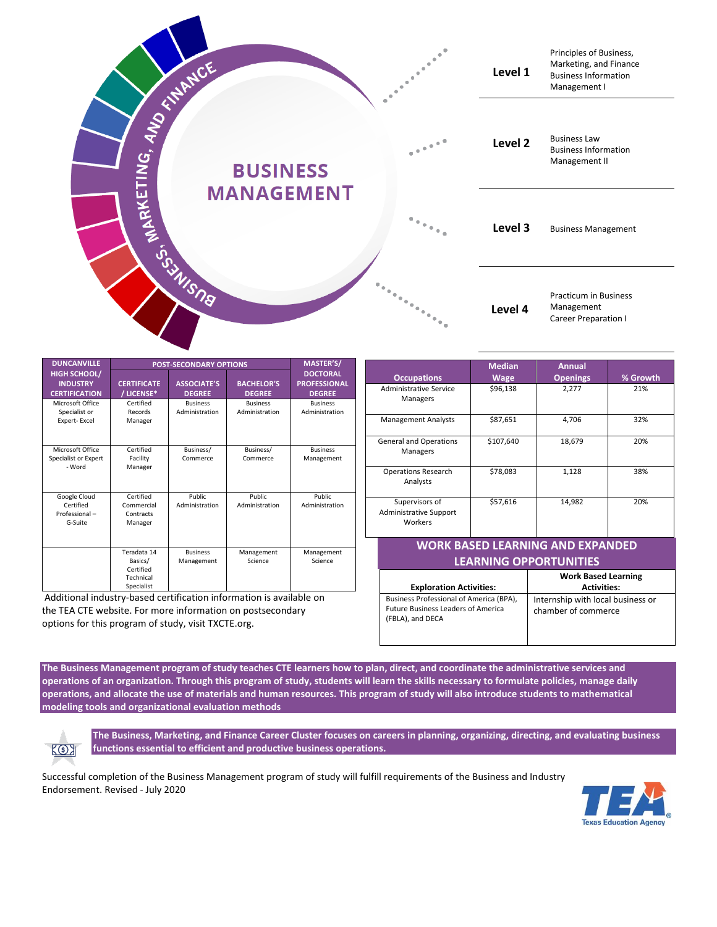

| <b>DUNCANVILLE</b>                                             | <b>POST-SECONDARY OPTIONS</b>                                  |                                     |                                    | MASTER'S/                                               |
|----------------------------------------------------------------|----------------------------------------------------------------|-------------------------------------|------------------------------------|---------------------------------------------------------|
| <b>HIGH SCHOOL/</b><br><b>INDUSTRY</b><br><b>CERTIFICATION</b> | <b>CERTIFICATE</b><br>/ LICENSE*                               | <b>ASSOCIATE'S</b><br><b>DEGREE</b> | <b>BACHELOR'S</b><br><b>DEGREE</b> | <b>DOCTORAL</b><br><b>PROFESSIONAL</b><br><b>DEGREE</b> |
| Microsoft Office<br>Specialist or<br>Expert-Excel              | Certified<br>Records<br>Manager                                | <b>Business</b><br>Administration   | <b>Business</b><br>Administration  | <b>Business</b><br>Administration                       |
| Microsoft Office<br>Specialist or Expert<br>- Word             | Certified<br>Facility<br>Manager                               | Business/<br>Commerce               | Business/<br>Commerce              | <b>Business</b><br>Management                           |
| Google Cloud<br>Certified<br>Professional-<br>G-Suite          | Certified<br>Commercial<br>Contracts<br>Manager                | Public<br>Administration            | Public.<br>Administration          | Public.<br>Administration                               |
|                                                                | Teradata 14<br>Basics/<br>Certified<br>Technical<br>Specialist | <b>Business</b><br>Management       | Management<br>Science              | Management<br>Science                                   |

Additional industry-based certification information is available on the TEA CTE website. For more information on postsecondary options for this program of study, visit TXCTE.org.

| <b>Occupations</b>                                                                   | <b>Median</b><br><b>Wage</b>   | <b>Annual</b><br><b>Openings</b>                         | % Growth                                         |  |  |  |
|--------------------------------------------------------------------------------------|--------------------------------|----------------------------------------------------------|--------------------------------------------------|--|--|--|
| <b>Administrative Service</b><br>Managers                                            | \$96,138                       | 2,277                                                    | 21%                                              |  |  |  |
| <b>Management Analysts</b>                                                           | \$87,651                       | 4,706                                                    | 32%                                              |  |  |  |
| <b>General and Operations</b><br>Managers                                            | \$107,640                      | 18,679                                                   | 20%                                              |  |  |  |
| <b>Operations Research</b><br>Analysts                                               | \$78,083                       | 1,128                                                    | 38%                                              |  |  |  |
| Supervisors of<br><b>Administrative Support</b><br>Workers                           | \$57,616                       | 14,982                                                   | 20%                                              |  |  |  |
| WORK BASED LEARNING AND EXPANDED                                                     |                                |                                                          |                                                  |  |  |  |
|                                                                                      | <b>LEARNING OPPORTUNITIES</b>  |                                                          |                                                  |  |  |  |
|                                                                                      | <b>Exploration Activities:</b> |                                                          | <b>Work Based Learning</b><br><b>Activities:</b> |  |  |  |
| Business Professional of America (BPA),<br><b>Future Business Leaders of America</b> |                                | Internship with local business or<br>chamber of commerce |                                                  |  |  |  |

**The Business Management program of study teaches CTE learners how to plan, direct, and coordinate the administrative services and operations of an organization. Through this program of study, students will learn the skills necessary to formulate policies, manage daily operations, and allocate the use of materials and human resources. This program of study will also introduce students to mathematical modeling tools and organizational evaluation methods**



**The Business, Marketing, and Finance Career Cluster focuses on careers in planning, organizing, directing, and evaluating business functions essential to efficient and productive business operations.**

(FBLA), and DECA

Successful completion of the Business Management program of study will fulfill requirements of the Business and Industry Endorsement. Revised - July 2020